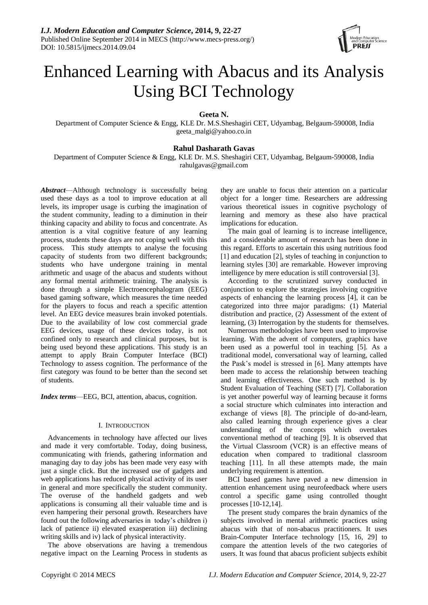

# Enhanced Learning with Abacus and its Analysis Using BCI Technology

**Geeta N.**

Department of Computer Science & Engg, KLE Dr. M.S.Sheshagiri CET, Udyambag, Belgaum-590008, India geeta\_malgi@yahoo.co.in

# **Rahul Dasharath Gavas**

Department of Computer Science & Engg, KLE Dr. M.S. Sheshagiri CET, Udyambag, Belgaum-590008, India [rahulgavas@gmail.com](mailto:rahulgavas@gmail.com)

*Abstract*—Although technology is successfully being used these days as a tool to improve education at all levels, its improper usage is curbing the imagination of the student community, leading to a diminution in their thinking capacity and ability to focus and concentrate. As attention is a vital cognitive feature of any learning process, students these days are not coping well with this process. This study attempts to analyse the focusing capacity of students from two different backgrounds; students who have undergone training in mental arithmetic and usage of the abacus and students without any formal mental arithmetic training. The analysis is done through a simple Electroencephalogram (EEG) based gaming software, which measures the time needed for the players to focus and reach a specific attention level. An EEG device measures brain invoked potentials. Due to the availability of low cost commercial grade EEG devices, usage of these devices today, is not confined only to research and clinical purposes, but is being used beyond these applications. This study is an attempt to apply Brain Computer Interface (BCI) Technology to assess cognition. The performance of the first category was found to be better than the second set of students.

*Index terms*—EEG, BCI, attention, abacus, cognition.

## I. INTRODUCTION

Advancements in technology have affected our lives and made it very comfortable. Today, doing business, communicating with friends, gathering information and managing day to day jobs has been made very easy with just a single click. But the increased use of gadgets and web applications has reduced physical activity of its user in general and more specifically the student community. The overuse of the handheld gadgets and web applications is consuming all their valuable time and is even hampering their personal growth. Researchers have found out the following adversaries in today's children i) lack of patience ii) elevated exasperation iii) declining writing skills and iv) lack of physical interactivity.

The above observations are having a tremendous negative impact on the Learning Process in students as

they are unable to focus their attention on a particular object for a longer time. Researchers are addressing various theoretical issues in cognitive psychology of learning and memory as these also have practical implications for education.

The main goal of learning is to increase intelligence, and a considerable amount of research has been done in this regard. Efforts to ascertain this using nutritious food [1] and education [2], styles of teaching in conjunction to learning styles [30] are remarkable. However improving intelligence by mere education is still controversial [3].

According to the scrutinized survey conducted in conjunction to explore the strategies involving cognitive aspects of enhancing the learning process [4], it can be categorized into three major paradigms: (1) Material distribution and practice, (2) Assessment of the extent of learning, (3) Interrogation by the students for themselves.

Numerous methodologies have been used to improvise learning. With the advent of computers, graphics have been used as a powerful tool in teaching [5]. As a traditional model, conversational way of learning, called the Pask's model is stressed in [6]. Many attempts have been made to access the relationship between teaching and learning effectiveness. One such method is by Student Evaluation of Teaching (SET) [7]. Collaboration is yet another powerful way of learning because it forms a social structure which culminates into interaction and exchange of views [8]. The principle of do-and-learn, also called learning through experience gives a clear understanding of the concepts which overtakes conventional method of teaching [9]. It is observed that the Virtual Classroom (VCR) is an effective means of education when compared to traditional classroom teaching [11]. In all these attempts made, the main underlying requirement is attention.

BCI based games have paved a new dimension in attention enhancement using neurofeedback where users control a specific game using controlled thought processes [10-12,14].

The present study compares the brain dynamics of the subjects involved in mental arithmetic practices using abacus with that of non-abacus practitioners. It uses Brain-Computer Interface technology [15, 16, 29] to compare the attention levels of the two categories of users. It was found that abacus proficient subjects exhibit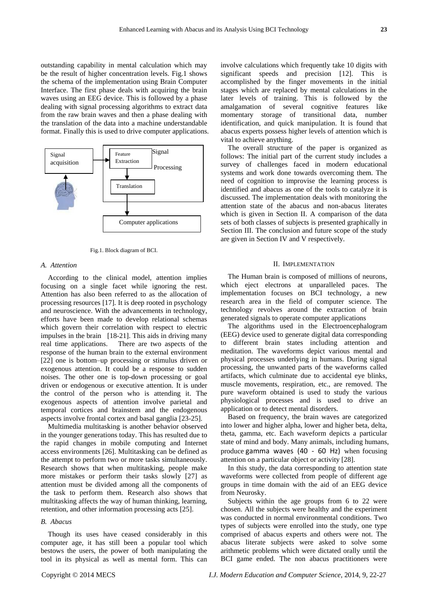outstanding capability in mental calculation which may be the result of higher concentration levels. Fig.1 shows the schema of the implementation using Brain Computer Interface. The first phase deals with acquiring the brain waves using an EEG device. This is followed by a phase dealing with signal processing algorithms to extract data from the raw brain waves and then a phase dealing with the translation of the data into a machine understandable format. Finally this is used to drive computer applications.



Fig.1. Block diagram of BCI.

# *A. Attention*

According to the clinical model, attention implies focusing on a single facet while ignoring the rest. Attention has also been referred to as the allocation of processing resources [17]. It is deep rooted in psychology and neuroscience. With the advancements in technology, efforts have been made to develop relational schemas which govern their correlation with respect to electric impulses in the brain [18-21]. This aids in driving many real time applications. There are two aspects of the response of the human brain to the external environment [22] one is bottom–up processing or stimulus driven or exogenous attention. It could be a response to sudden noises. The other one is top-down processing or goal driven or endogenous or executive attention. It is under the control of the person who is attending it. The exogenous aspects of attention involve parietal and temporal cortices and brainstem and the endogenous aspects involve frontal cortex and basal ganglia [23-25].

Multimedia multitasking is another behavior observed in the younger generations today. This has resulted due to the rapid changes in mobile computing and Internet access environments [26]. Multitasking can be defined as the attempt to perform two or more tasks simultaneously. Research shows that when multitasking, people make more mistakes or perform their tasks slowly [27] as attention must be divided among all the components of the task to perform them. Research also shows that multitasking affects the way of human thinking, learning, retention, and other information processing acts [25].

## *B. Abacus*

Though its uses have ceased considerably in this computer age, it has still been a popular tool which bestows the users, the power of both manipulating the tool in its physical as well as mental form. This can involve calculations which frequently take 10 digits with significant speeds and precision [12]. This is accomplished by the finger movements in the initial stages which are replaced by mental calculations in the later levels of training. This is followed by the amalgamation of several cognitive features like momentary storage of transitional data, number identification, and quick manipulation. It is found that abacus experts possess higher levels of attention which is vital to achieve anything.

The overall structure of the paper is organized as follows: The initial part of the current study includes a survey of challenges faced in modern educational systems and work done towards overcoming them. The need of cognition to improvise the learning process is identified and abacus as one of the tools to catalyze it is discussed. The implementation deals with monitoring the attention state of the abacus and non-abacus literates which is given in Section II. A comparison of the data sets of both classes of subjects is presented graphically in Section III. The conclusion and future scope of the study are given in Section IV and V respectively.

#### II. IMPLEMENTATION

The Human brain is composed of millions of neurons, which eject electrons at unparalleled paces. The implementation focuses on BCI technology, a new research area in the field of computer science. The technology revolves around the extraction of brain generated signals to operate computer applications

The algorithms used in the Electroencephalogram (EEG) device used to generate digital data corresponding to different brain states including attention and meditation. The waveforms depict various mental and physical processes underlying in humans. During signal processing, the unwanted parts of the waveforms called artifacts, which culminate due to accidental eye blinks, muscle movements, respiration, etc., are removed. The pure waveform obtained is used to study the various physiological processes and is used to drive an application or to detect mental disorders.

Based on frequency, the brain waves are categorized into lower and higher alpha, lower and higher beta, delta, theta, gamma, etc. Each waveform depicts a particular state of mind and body. Many animals, including humans, produce gamma waves (40 - 60 Hz) when focusing attention on a particular object or activity [28].

In this study, the data corresponding to attention state waveforms were collected from people of different age groups in time domain with the aid of an EEG device from Neurosky.

Subjects within the age groups from 6 to 22 were chosen. All the subjects were healthy and the experiment was conducted in normal environmental conditions. Two types of subjects were enrolled into the study, one type comprised of abacus experts and others were not. The abacus literate subjects were asked to solve some arithmetic problems which were dictated orally until the BCI game ended. The non abacus practitioners were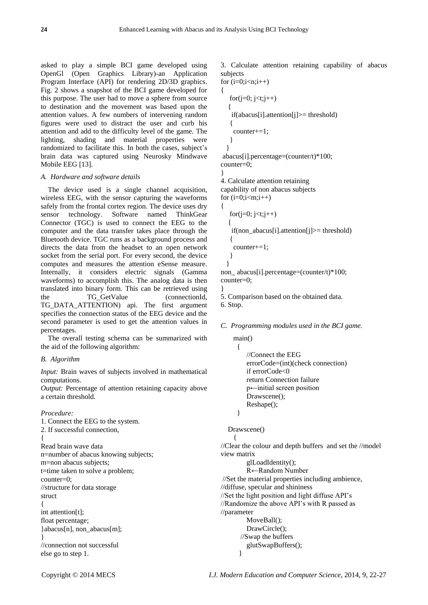asked to play a simple BCI game developed using OpenGl (Open Graphics Library)-an Application Program Interface (API) for rendering 2D/3D graphics. Fig. 2 shows a snapshot of the BCI game developed for this purpose. The user had to move a sphere from source to destination and the movement was based upon the attention values. A few numbers of intervening random figures were used to distract the user and curb his attention and add to the difficulty level of the game. The lighting, shading and material properties were randomized to facilitate this. In both the cases, subject's brain data was captured using Neurosky Mindwave Mobile EEG [13].

## *A. Hardware and software details*

The device used is a single channel acquisition, wireless EEG, with the sensor capturing the waveforms safely from the frontal cortex region. The device uses dry sensor technology. Software named ThinkGear Connector (TGC) is used to connect the EEG to the computer and the data transfer takes place through the Bluetooth device. TGC runs as a background process and directs the data from the headset to an open network socket from the serial port. For every second, the device computes and measures the attention eSense measure. Internally, it considers electric signals (Gamma waveforms) to accomplish this. The analog data is then translated into binary form. This can be retrieved using the TG GetValue (connectionId, TG\_DATA\_ATTENTION) api. The first argument specifies the connection status of the EEG device and the second parameter is used to get the attention values in percentages.

The overall testing schema can be summarized with the aid of the following algorithm:

### *B. Algorithm*

*Input:* Brain waves of subjects involved in mathematical computations.

*Output:* Percentage of attention retaining capacity above a certain threshold.

#### *Procedure:*

1. Connect the EEG to the system. 2. If successful connection, { Read brain wave data n=number of abacus knowing subjects; m=non abacus subjects; t=time taken to solve a problem; counter=0; //structure for data storage struct { int attention[t]; float percentage; }abacus[n], non\_abacus[m]; } //connection not successful else go to step 1.

3. Calculate attention retaining capability of abacus subjects

```
for (i=0;i < n;i++){
   for(i=0; i < t; j++) {
     if(abacus[i].attention[j]>= threshold)
    {
     counter+=1;
    }
   }
abacus[i].percentage=(counter/t)*100;
counter=0;
}
4. Calculate attention retaining
```
capability of non abacus subjects for  $(i=0;i$ {

```
for(j=0; j < t;j++) {
  if(non_abacus[i].attention[j]>= threshold)
  {
   counter+=1;
  }
 }
```
non abacus[i].percentage=(counter/t)\*100; counter=0;

} 5. Comparison based on the obtained data. 6. Stop.

## *C. Programming modules used in the BCI game.*

 main() //Connect the EEG errorCode=(int)(check connection) if errorCode<0 return Connection failure p←initial screen position Drawscene(); Reshape();

```
 }
```
 $\overline{\phantom{a}}$ 

{

Drawscene()

//Clear the colour and depth buffers and set the //model view matrix glLoadIdentity();

R←Random Number //Set the material properties including ambience, //diffuse, specular and shininess //Set the light position and light diffuse API's //Randomize the above API's with R passed as //parameter MoveBall(); DrawCircle(); //Swap the buffers glutSwapBuffers(); }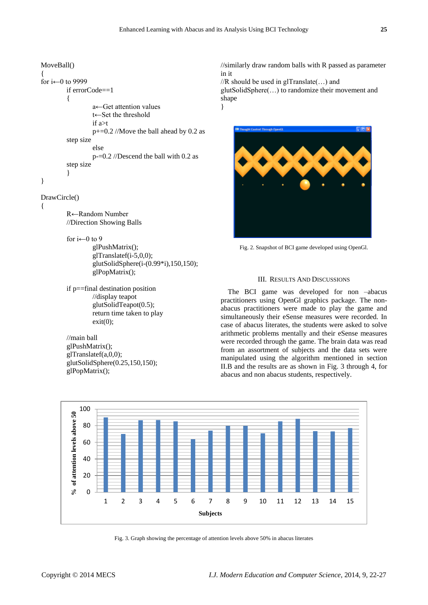## MoveBall()

```
{
for i \leftarrow 0 to 9999
         if errorCode==1
         {
                   a←Get attention values
                   t←Set the threshold
                   if a>t
                   p+=0.2 //Move the ball ahead by 0.2 as 
         step size
                   else
                   p-=0.2 //Descend the ball with 0.2 as 
         step size
         }
}
```
#### DrawCircle()

{

R←Random Number //Direction Showing Balls

for  $i \leftarrow 0$  to 9

- glPushMatrix(); glTranslatef(i-5,0,0); glutSolidSphere(i-(0.99\*i),150,150); glPopMatrix();
- if p==final destination position //display teapot glutSolidTeapot(0.5); return time taken to play  $exit(0)$ ;

//main ball glPushMatrix(); glTranslatef(a,0,0); glutSolidSphere(0.25,150,150); glPopMatrix();

//similarly draw random balls with R passed as parameter in it

//R should be used in glTranslate(…) and glutSolidSphere(…) to randomize their movement and shape

}



Fig. 2. Snapshot of BCI game developed using OpenGl.

#### III. RESULTS AND DISCUSSIONS

The BCI game was developed for non –abacus practitioners using OpenGl graphics package. The nonabacus practitioners were made to play the game and simultaneously their eSense measures were recorded. In case of abacus literates, the students were asked to solve arithmetic problems mentally and their eSense measures were recorded through the game. The brain data was read from an assortment of subjects and the data sets were manipulated using the algorithm mentioned in section II.B and the results are as shown in Fig. 3 through 4, for abacus and non abacus students, respectively.



Fig. 3. Graph showing the percentage of attention levels above 50% in abacus literates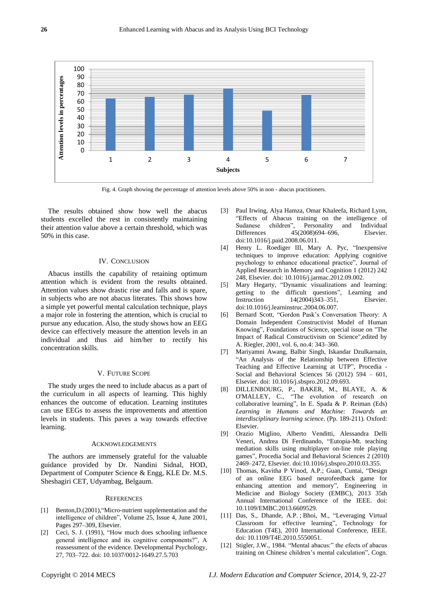

Fig. 4. Graph showing the percentage of attention levels above 50% in non - abacus practitioners.

The results obtained show how well the abacus students excelled the rest in consistently maintaining their attention value above a certain threshold, which was 50% in this case.

#### IV. CONCLUSION

Abacus instills the capability of retaining optimum attention which is evident from the results obtained. Attention values show drastic rise and falls and is spare, in subjects who are not abacus literates. This shows how a simple yet powerful mental calculation technique, plays a major role in fostering the attention, which is crucial to pursue any education. Also, the study shows how an EEG device can effectively measure the attention levels in an individual and thus aid him/her to rectify his concentration skills.

## V. FUTURE SCOPE

The study urges the need to include abacus as a part of the curriculum in all aspects of learning. This highly enhances the outcome of education. Learning institutes can use EEGs to assess the improvements and attention levels in students. This paves a way towards effective learning.

#### **ACKNOWLEDGEMENTS**

The authors are immensely grateful for the valuable guidance provided by Dr. Nandini Sidnal, HOD, Department of Computer Science & Engg, KLE Dr. M.S. Sheshagiri CET, Udyambag, Belgaum.

#### **REFERENCES**

- [1] Benton, D. (2001), "Micro-nutrient supplementation and the intelligence of children", [Volume](http://www.sciencedirect.com/science/journal/01497634/25/4) 25, Issue 4, June 2001, Pages 297–309, Elsevier.
- [2] Ceci, S. J. (1991), "How much does schooling influence general intelligence and its cognitive components?", A reassessment of the evidence. Developmental Psychology, 27, 703–722. doi: [10.1037/0012-1649.27.5.703](http://psycnet.apa.org/doi/10.1037/0012-1649.27.5.703)
- [3] Paul Irwing, Alya Hamza, Omar Khaleefa, Richard Lynn, ―Effects of Abacus training on the intelligence of Sudanese children", Personality and Individual Differences 45(2008)694–696, Elsevier. doi:10.1016/j.paid.2008.06.011.
- [4] Henry L. Roediger III, Mary A. Pyc, "Inexpensive techniques to improve education: Applying cognitive psychology to enhance educational practice", Journal of Applied Research in Memory and Cognition 1 (2012) 242 248, Elsevier. doi[: 10.1016/j.jarmac.2012.09.002.](http://dx.doi.org/10.1016/j.jarmac.2012.09.002)
- [5] Mary Hegarty, "Dynamic visualizations and learning: getting to the difficult questions", Learning and Instruction 14(2004)343–351, Elsevier. doi:10.1016/j.learninstruc.2004.06.007.
- [6] Bernard Scott, "Gordon Pask's Conversation Theory: A Domain Independent Constructivist Model of Human Knowing", Foundations of Science, special issue on "The Impact of Radical Constructivism on Science",edited by A. Riegler, 2001, vol. 6, no.4: 343–360.
- [7] Mariyamni Awang, Balbir Singh, Iskandar Dzulkarnain, "An Analysis of the Relationship between Effective Teaching and Effective Learning at UTP", Procedia -Social and Behavioral Sciences 56 (2012) 594 – 601, Elsevier. doi[: 10.1016/j.sbspro.2012.09.693.](http://dx.doi.org/10.1016/j.sbspro.2012.09.693)
- [8] DILLENBOURG, P., BAKER, M., BLAYE, A. & O'MALLEY, C., "The evolution of research on collaborative learning", In E. Spada & P. Reiman (Eds) *Learning in Humans and Machine: Towards an interdisciplinary learning science*. (Pp. 189-211). Oxford: Elsevier.
- [9] Orazio Miglino, Alberto Venditti, Alessandra Delli Veneri, Andrea Di Ferdinando, "Eutopia-Mt. teaching mediation skills using multiplayer on-line role playing games", Procedia Social and Behavioral Sciences 2 (2010) 2469–2472, Elsevier. doi:10.1016/j.sbspro.2010.03.355.
- [10] [Thomas, Kavitha P](http://ieeexplore.ieee.org/search/searchresult.jsp?searchWithin=p_Authors:.QT.Thomas,%20Kavitha%20P.QT.&newsearch=true) [Vinod, A.P.;](http://ieeexplore.ieee.org/search/searchresult.jsp?searchWithin=p_Authors:.QT.Vinod,%20A.P..QT.&newsearch=true) [Guan, Cuntai,](http://ieeexplore.ieee.org/search/searchresult.jsp?searchWithin=p_Authors:.QT.Guan,%20Cuntai.QT.&newsearch=true) "Design of an online EEG based neurofeedback game for enhancing attention and memory", Engineering in [Medicine and Biology Society \(EMBC\), 2013 35th](http://ieeexplore.ieee.org/xpl/mostRecentIssue.jsp?punumber=6596169) [Annual International Conference of the IEEE.](http://ieeexplore.ieee.org/xpl/mostRecentIssue.jsp?punumber=6596169) doi: 10.1109/EMBC.2013.6609529.
- [11] [Das, S.,](http://ieeexplore.ieee.org/search/searchresult.jsp?searchWithin=p_Authors:.QT.Das,%20S..QT.&searchWithin=p_Author_Ids:37536657600&newsearch=true) [Dhande, A.P.](http://ieeexplore.ieee.org/search/searchresult.jsp?searchWithin=p_Authors:.QT.Dhande,%20A.P..QT.&searchWithin=p_Author_Ids:37541497800&newsearch=true); Bhoi, M., "Leveraging Virtual Classroom for effective learning", Technology for Education (T4E), 2010 International Conference, IEEE. doi[: 10.1109/T4E.2010.5550051.](http://doi.ieeecomputersociety.org/10.1109/T4E.2010.5550051)
- [12] Stigler, J.W., 1984. "Mental abacus:" the efects of abacus training on Chinese children's mental calculation", Cogn.